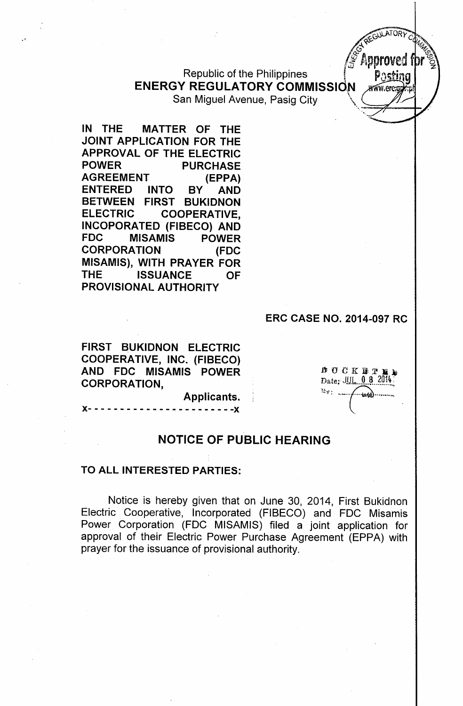Republic of the Philippines **ENERGY REGULATORY COMMISSION** 

San Miguel Avenue, Pasig City

**IN THE MATTER OF THE JOINT APPLICATION FOR THE APPROVAL OF THE ELECTRIC POWER PURCHASE AGREEMENT (EPPA) ENTERED INTO BY AND BETWEEN FIRST BUKIDNON ELECTRIC COOPERATIVE, INCOPORATED (FIBECO) AND FDC MISAMIS POWER CORPORATION (FDC MISAMIS), WITH PRAYER FOR THE ISSUANCE OF PROVISIONAL AUTHORITY**

.'

#### **ERC CASE NO. 2014-097 RC**

**FIRST BUKIDNON ELECTRIC COOPERATIVE, INC. (FIBECO) AND FDC MISAMIS POWER CORPORATION,**

**DOCKETE** Date: JUL 0 8 2014 <sub>陸密とし</sub>

**WATOR** 

Approve

a wu an

**NOTICE OF PUBLIC HEARING**

**Applicants.**  $- - - - - - -$ 

## **TO ALL INTERESTED PARTIES:**

Notice is hereby given that on June 30, 2014, First Bukidnon Electric Cooperative, Incorporated (FIBECO) and FOC Misamis Power Corporation (FOC MISAMIS) filed a joint application for approval of their Electric Power Purchase Agreement (EPPA) with prayer for the issuance of provisional authority.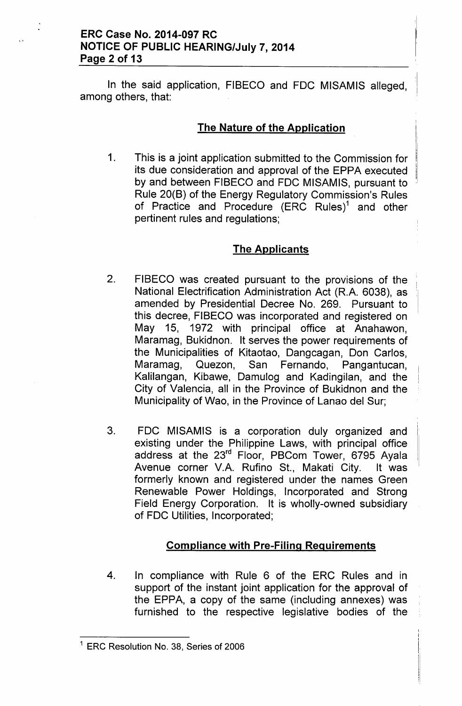In the said application, FIBECO and FDC MISAMIS alleged, among others, that:

# The Nature of the Application

1. This is a joint application submitted to the Commission for its due consideration and approval of the EPPA executed by and between FIBECO and FDC MISAMIS, pursuant to Rule 20(B) of the Energy Regulatory Commission's Rules of Practice and Procedure  $(ERC\quad Rules)^1$  and other pertinent rules and regulations;

# The Applicants

- 2. FIBECO was created pursuant to the provisions of the National Electrification Administration Act (R.A. 6038), as amended by Presidential Decree No. 269. Pursuant to this decree, FIBECO was incorporated and registered on May 15, 1972 with principal office at Anahawon, Maramag, Bukidnon. It serves the power requirements of the Municipalities of Kitaotao, Dangcagan, Don Carlos, Maramag, Quezon, San Fernando, Pangantucan, Kalilangan, Kibawe, Oamulog and Kadingilan, and the City of Valencia, all in the Province of Bukidnon and the Municipality of Wao, in the Province of Lanao del Sur;
- 3. FOC MISAMIS is a corporation duly organized and existing under the Philippine Laws, with principal office address at the 23<sup>rd</sup> Floor, PBCom Tower, 6795 Ayala Avenue corner V.A. Rufino St., Makati City. It was formerly known and registered under the names Green Renewable Power Holdings, Incorporated and Strong Field Energy Corporation. It is wholly-owned subsidiary of FOC Utilities, Incorporated;

# Compliance with Pre-Filing Requirements

4. In compliance with Rule 6 of the ERC Rules and in support of the instant joint application for the approval of the EPPA, a copy of the same (including annexes) was furnished to the respective legislative bodies of the

<sup>&</sup>lt;sup>1</sup> ERC Resolution No. 38, Series of 2006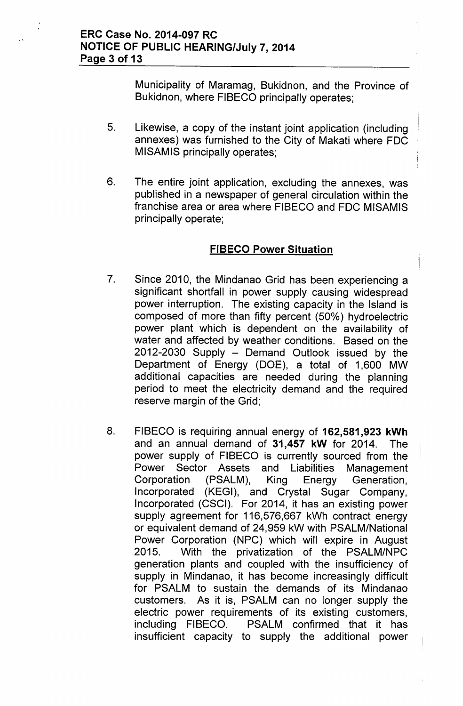Municipality of Maramag, Bukidnon, and the Province of Bukidnon, where FIBECO principally operates;

- 5. Likewise, a copy of the instant joint application (including annexes) was furnished to the City of Makati where FDC MISAMIS principally operates;
- 6. The entire joint application, excluding the annexes, was published in a newspaper of general circulation within the franchise area or area where FIBECO and FDC MISAMIS principally operate;

## **FIBECO Power Situation**

- 7. Since 2010, the Mindanao Grid has been experiencing a significant shortfall in power supply causing widespread power interruption. The existing capacity in the Island is composed of more than fifty percent (50%) hydroelectric power plant which is dependent on the availability of water and affected by weather conditions. Based on the  $2012-2030$  Supply  $-$  Demand Outlook issued by the Department of Energy (DOE), a total of 1,600 MW additional capacities are needed during the planning period to meet the electricity demand and the required reserve margin of the Grid;
- 8. FIBECO is requiring annual energy of **162,581,923 kWh** and an annual demand of **31,457 kW** for 2014. The power supply of FIBECO is currently sourced from the Power Sector Assets and Liabilities Management Corporation (PSALM), King Energy Generation, Incorporated (KEGI), and Crystal Sugar Company, Incorporated (CSCI). For 2014, it has an existing power supply agreement for 116,576,667 kWh contract energy or equivalent demand of 24,959 kW with PSALM/National Power Corporation (NPC) which will expire in August 2015. With the privatization of the PSALM/NPC generation plants and coupled with the insufficiency of supply in Mindanao, it has become increasingly difficult for PSALM to sustain the demands of its Mindanao customers. As it is, PSALM can no longer supply the electric power requirements of its existing customers, including FIBECO. PSALM confirmed that it has insufficient capacity to supply the additional power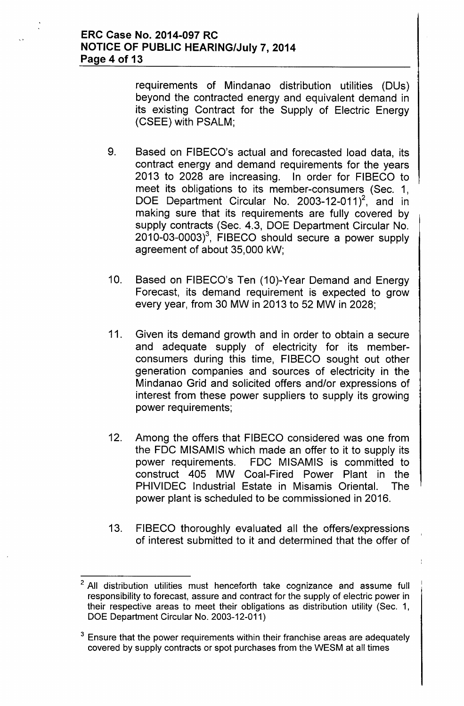requirements of Mindanao distribution utilities (DUs) beyond the contracted energy and equivalent demand in its existing Contract for the Supply of Electric Energy (CSEE) with PSALM;

- 9. Based on FIBECO's actual and forecasted load data, its contract energy and demand requirements for the years 2013 to 2028 are increasing. In order for FIBECO to meet its obligations to its member-consumers (Sec. 1, DOE Department Circular No. 2003-12-011 $^2$ , and in making sure that its requirements are fully covered by supply contracts (Sec. 4.3, DOE Department Circular No.  $2010-03-0003$ <sup>3</sup>, FIBECO should secure a power supply agreement of about 35,000 kW;
- 10. Based on FIBECO's Ten (10)-Year Demand and Energy Forecast, its demand requirement is expected to grow every year, from 30 MW in 2013 to 52 MW in 2028;
- 11. Given its demand growth and in order to obtain a secure and adequate supply of electricity for its memberconsumers during this time, FIBECO sought out other generation companies and sources of electricity in the Mindanao Grid and solicited offers and/or expressions of interest from these power suppliers to supply its growing power requirements;
- 12. Among the offers that FIBECO considered was one from the FDC MISAMIS which made an offer to it to supply its power requirements. FDC MISAMIS is committed to construct 405 MW Coal-Fired Power Plant in the PHIVIDEC Industrial Estate in Misamis Oriental. The power plant is scheduled to be commissioned in 2016.
- 13. FIBECO thoroughly evaluated all the offers/expressions of interest submitted to it and determined that the offer of

All distribution utilities must henceforth take cognizance and assume full responsibility to forecast, assure and contract for the supply of electric power in their respective areas to meet their obligations as distribution utility (Sec. 1, DOE Department Circular No. 2003-12-011)

 $3$  Ensure that the power requirements within their franchise areas are adequately covered by supply contracts or spot purchases from the WESM at all times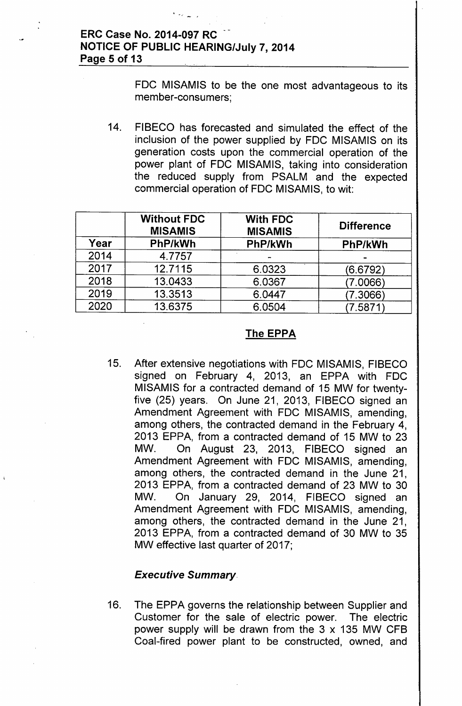# **ERC Case No. 2014-097 RC NOTICE OF PUBLIC HEARING/July 7, 2014 Page 5 of 13**

, - ,

FOC MISAMIS to be the one most advantageous to its member-consumers;

14. FIBECO has forecasted and simulated the effect of the inclusion of the power supplied by FDC MISAMIS on its generation costs upon the commercial operation of the power plant of FOC MISAMIS, taking into consideration the reduced supply from PSALM and the expected commercial operation of FOC MISAMIS, to wit:

|      | <b>Without FDC</b><br><b>MISAMIS</b> | <b>With FDC</b><br><b>MISAMIS</b> | <b>Difference</b> |
|------|--------------------------------------|-----------------------------------|-------------------|
| Year | PhP/kWh                              | PhP/kWh                           | PhP/kWh           |
| 2014 | 4.7757                               |                                   |                   |
| 2017 | 12.7115                              | 6.0323                            | (6.6792)          |
| 2018 | 13.0433                              | 6.0367                            | (7.0066)          |
| 2019 | 13.3513                              | 6.0447                            | 7.3066)           |
| 2020 | 13.6375                              | 6.0504                            | 7.5871            |

## **The EPPA**

15. After extensive negotiations with FOC MISAMIS, FIBECO signed on February 4, 2013, an EPPA with FDC MISAMIS for a contracted demand of 15 MW for twentyfive (25) years. On June 21, 2013, FIBECO signed an Amendment Agreement with FOC MISAMIS, amending, among others, the contracted demand in the February 4, 2013 EPPA, from a contracted demand of 15 MW to 23 MW. On August 23, 2013, FIBECO signed an Amendment Agreement with FOC MISAMIS, amending, among others, the contracted demand in the June 21, 2013 EPPA, from a contracted demand of 23 MW to 30 MW. On January 29, 2014, FIBECO signed an Amendment Agreement with FDC MISAMIS, amending, among others, the contracted demand in the June 21, 2013 EPPA, from a contracted demand of 30 MW to 35 MW effective last quarter of 2017;

## *Executive Summary.*

16. The EPPA governs the relationship between Supplier and Customer for the sale of electric power. The electric power supply will be drawn from the 3 x 135 MW CFB Coal-fired power plant to be constructed, owned, and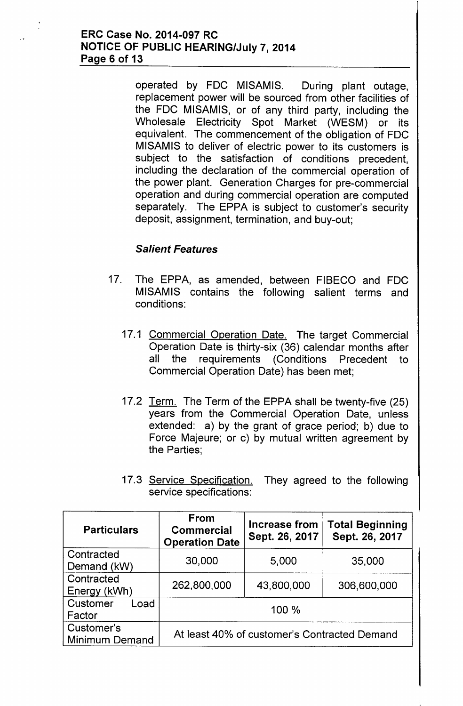#### ERC Case No. 2014-097 RC NOTICE OF PUBLIC HEARING/July 7,2014 Page 6 of 13

operated by FDC MISAMIS. During plant outage, replacement power will be sourced from other facilities of the FDC MISAMIS, or of any third party, including the Wholesale Electricity Spot Market (WESM) or its equivalent. The commencement of the obligation of FDC MISAMIS to deliver of electric power to its customers is subject to the satisfaction of conditions precedent, including the declaration of the commercial operation of the power plant. Generation Charges for pre-commercial operation and during commercial operation are computed separately. The EPPA is subject to customer's security deposit, assignment, termination, and buy-out;

# *Salient Features*

- 17. The EPPA, as amended, between FIBECO and FDC MISAMIS contains the following salient terms and conditions:
	- 17.1 Commercial Operation Date. The target Commercial Operation Date is thirty-six (36) calendar months after all the requirements (Conditions Precedent to Commercial Operation Date) has been met;
	- 17.2 Term. The Term of the EPPA shall be twenty-five (25) years from the Commercial Operation Date, unless extended: a) by the grant of grace period; b) due to Force Majeure; or c) by mutual written agreement by the Parties;
	- 17.3 Service Specification. They agreed to the following service specifications:

| <b>Particulars</b>                  | From<br><b>Commercial</b><br><b>Operation Date</b> | <b>Increase from</b><br>Sept. 26, 2017 | <b>Total Beginning</b><br>Sept. 26, 2017 |
|-------------------------------------|----------------------------------------------------|----------------------------------------|------------------------------------------|
| Contracted<br>Demand (kW)           | 30,000                                             | 5,000                                  | 35,000                                   |
| Contracted<br>Energy (kWh)          | 262,800,000                                        | 43,800,000                             | 306,600,000                              |
| Customer<br>Load<br>Factor          |                                                    | 100 %                                  |                                          |
| Customer's<br><b>Minimum Demand</b> | At least 40% of customer's Contracted Demand       |                                        |                                          |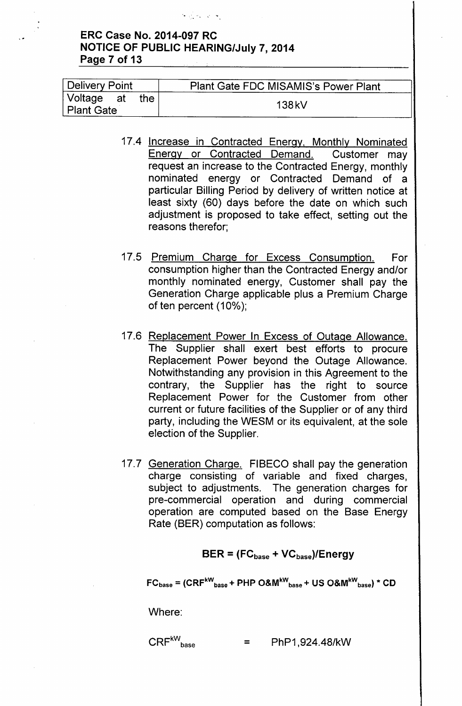# ERC Case No. 2014-097 RC **NOTICE OF PUBLIC HEARING/July 7, 2014** Page 7 of 13

医肠部分的

| Delivery Point                    | <b>Plant Gate FDC MISAMIS's Power Plant</b> |  |
|-----------------------------------|---------------------------------------------|--|
| Voltage at<br>the l<br>Plant Gate | 138 kV                                      |  |

- 17.4 Increase in Contracted Energy. Monthly Nominated Energy or Contracted Demand. Customer may request an increase to the Contracted Energy, monthly nominated energy or Contracted Demand of a particular Billing Period by delivery of written notice at least sixty (60) days before the date on which such adjustment is proposed to take effect, setting out the reasons therefor;
- 17.5 Premium Charge for Excess Consumption. For consumption higher than the Contracted Energy and/or monthly nominated energy, Customer shall pay the Generation Charge applicable plus a Premium Charge of ten percent (10%);
- 17.6 Replacement Power In Excess of Outage Allowance. The Supplier shall exert best efforts to procure Replacement Power beyond the Outage Allowance. Notwithstanding any provision in this Agreement to the contrary, the Supplier has the right to source Replacement Power for the Customer from other current or future facilities of the Supplier or of any third party, including the WESM or its equivalent, at the sole , election of the Supplier.
- 17.7 Generation Charge. FIBECO shall pay the generation charge consisting of variable and fixed charges, subject to adjustments. The generation charges for pre-commercial operation and during commercial operation are computed based on the Base Energy Rate (BER) computation as follows:

## $BER = (FC<sub>base</sub> + VC<sub>base</sub>)/Energy$

 $FC_{base} = (CRF^{kW}_{base} + PHP\ O\&M^{kW}_{base} + US\ O\&M^{kW}_{base}) * CD$ 

Where:

# $CRF^{kW}$ <sub>base</sub>  $= PhP1,924.48/kW$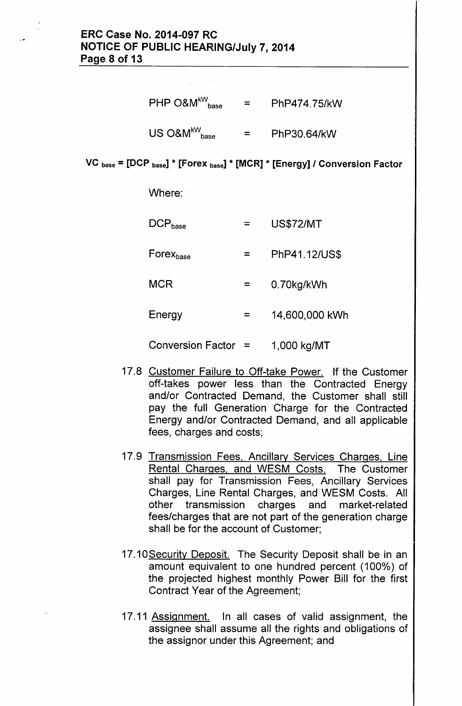# ERC Case No. 2014-097 RC NOTICE OF PUBLIC HEARING/July 7, 2014 Page 8 of 13

| $\mathsf{PHP}{}$ O&M $^{\mathsf{kW}}_{\mathsf{base}}$                                 | $=$ $-$ | PhP474.75/kW |
|---------------------------------------------------------------------------------------|---------|--------------|
| $\mathsf{US}~\mathsf{O}\mathsf{8M}^{\mathsf{kW}}_{\phantom{\mathsf{b}}\mathsf{base}}$ | 三       | PhP30.64/kW  |

VC <sub>base</sub> = [DCP <sub>base</sub>] \* [Forex <sub>base</sub>] \* [MCR] \* [Energy] / Conversion Factor

Where:

| $DCP_{base}$             |   | <b>US\$72/MT</b> |
|--------------------------|---|------------------|
| Forexbase                |   | PhP41.12/US\$    |
| <b>MCR</b>               |   | 0.70kg/kWh       |
| Energy                   | ≕ | 14,600,000 kWh   |
| <b>Conversion Factor</b> |   | 1,000 kg/MT      |

- 17.8 Customer Failure to Off-take Power. If the Customer off-takes power less than the Contracted Energy and/or Contracted Demand, the Customer shall still pay the full Generation Charge for the Contracted Energy and/or Contracted Demand, and all applicable fees, charges and costs;
- 17.9 Transmission Fees, Ancillary Services Charges, Line Rental Charges, and WESM Costs. The Customer shall pay for Transmission Fees, Ancillary Services Charges, Line Rental Charges, and WESM Costs. All other transmission charges and market-related fees/charges that are not part of the generation charge shall be for the account of Customer;
- 17.10 Security Deposit. The Security Deposit shall be in an amount equivalent to one hundred percent (100%) of the projected highest monthly Power Bill for the first Contract Year of the Agreement;
- 17.11 Assignment. In all cases of valid assignment, the assignee shall assume all the rights and obligations of the assignor under this Agreement; and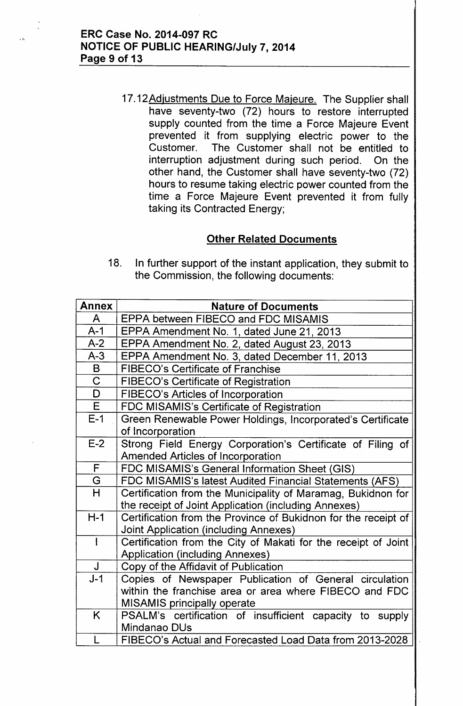17.12Adjustments Due to Force Majeure. The Supplier shall have seventy-two (72) hours to restore interrupted supply counted from the time a Force Majeure Event prevented it from supplying electric power to the Customer. The Customer shall not be entitled to interruption adjustment during such period. On the other hand, the Customer shall have seventy-two (72) hours to resume taking electric power counted from the time a Force Majeure Event prevented it from fully taking its Contracted Energy;

# Other Related Documents

18. In further support of the instant application, they submit to the Commission, the following documents:

| <b>Annex</b>            | <b>Nature of Documents</b>                                     |  |
|-------------------------|----------------------------------------------------------------|--|
| A                       | EPPA between FIBECO and FDC MISAMIS                            |  |
| $A-1$                   | EPPA Amendment No. 1, dated June 21, 2013                      |  |
| $A-2$                   | EPPA Amendment No. 2, dated August 23, 2013                    |  |
| $A-3$                   | EPPA Amendment No. 3, dated December 11, 2013                  |  |
| B                       | <b>FIBECO's Certificate of Franchise</b>                       |  |
| $\overline{\mathsf{C}}$ | <b>FIBECO's Certificate of Registration</b>                    |  |
| D                       | FIBECO's Articles of Incorporation                             |  |
| $\overline{\mathsf{E}}$ | FDC MISAMIS's Certificate of Registration                      |  |
| $E-1$                   | Green Renewable Power Holdings, Incorporated's Certificate     |  |
|                         | of Incorporation                                               |  |
| $E-2$                   | Strong Field Energy Corporation's Certificate of Filing of     |  |
|                         | <b>Amended Articles of Incorporation</b>                       |  |
| $\mathsf F$             | FDC MISAMIS's General Information Sheet (GIS)                  |  |
| G                       | FDC MISAMIS's latest Audited Financial Statements (AFS)        |  |
| H                       | Certification from the Municipality of Maramag, Bukidnon for   |  |
|                         | the receipt of Joint Application (including Annexes)           |  |
| $H-1$                   | Certification from the Province of Bukidnon for the receipt of |  |
|                         | <b>Joint Application (including Annexes)</b>                   |  |
| $\mathbf{I}$            | Certification from the City of Makati for the receipt of Joint |  |
|                         | <b>Application (including Annexes)</b>                         |  |
| J                       | Copy of the Affidavit of Publication                           |  |
| $J-1$                   | Copies of Newspaper Publication of General circulation         |  |
|                         | within the franchise area or area where FIBECO and FDC         |  |
|                         | <b>MISAMIS principally operate</b>                             |  |
| K                       | PSALM's certification of insufficient capacity to supply       |  |
|                         | Mindanao DUs                                                   |  |
| L                       | FIBECO's Actual and Forecasted Load Data from 2013-2028        |  |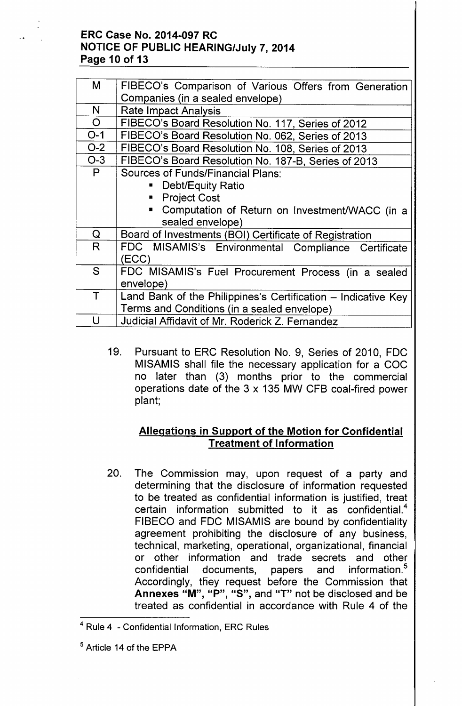# ERC Case No. 2014-097 RC NOTICE OF PUBLIC HEARING/July 7, 2014 Page 10 of 13

| M              | FIBECO's Comparison of Various Offers from Generation         |  |
|----------------|---------------------------------------------------------------|--|
|                | Companies (in a sealed envelope)                              |  |
| N              | <b>Rate Impact Analysis</b>                                   |  |
| $\overline{O}$ | FIBECO's Board Resolution No. 117, Series of 2012             |  |
| $O-1$          | FIBECO's Board Resolution No. 062, Series of 2013             |  |
| $O-2$          | FIBECO's Board Resolution No. 108, Series of 2013             |  |
| $O-3$          | FIBECO's Board Resolution No. 187-B, Series of 2013           |  |
| P              | Sources of Funds/Financial Plans:                             |  |
|                | • Debt/Equity Ratio                                           |  |
|                | • Project Cost                                                |  |
|                | Computation of Return on Investment/WACC (in a                |  |
|                | sealed envelope)                                              |  |
| Q              | Board of Investments (BOI) Certificate of Registration        |  |
| R.             | FDC MISAMIS's Environmental Compliance Certificate            |  |
|                | (ECC)                                                         |  |
| S              | FDC MISAMIS's Fuel Procurement Process (in a sealed           |  |
|                | envelope)                                                     |  |
| $\mathsf T$    | Land Bank of the Philippines's Certification – Indicative Key |  |
|                | Terms and Conditions (in a sealed envelope)                   |  |
| U              | Judicial Affidavit of Mr. Roderick Z. Fernandez               |  |

19. Pursuant to ERC Resolution No.9, Series of 2010, FDC MISAMIS shall file the necessary application for a COC no later than (3) months prior to the commercial operations date of the 3 x 135 MW CFB coal-fired power plant;

# Allegations in Support of the Motion for Confidential Treatment of Information

20. The Commission may, upon request of a party and determining that the disclosure of information requested to be treated as confidential information is justified, treat certain information submitted to it as confidential.<sup>4</sup> FIBECO and FDC MISAMIS are bound by confidentiality agreement prohibiting the disclosure of any business, technical, marketing, operational, organizational, financial or other information and trade secrets and other confidential documents, papers and information.<sup>5</sup> Accordingly, they request before the Commission that Annexes "M", "P", "S", and "T" not be disclosed and be treated as confidential in accordance with Rule 4 of the

<sup>4</sup> Rule 4 - Confidential Information, ERC Rules

<sup>5</sup> Article 14 of the EPPA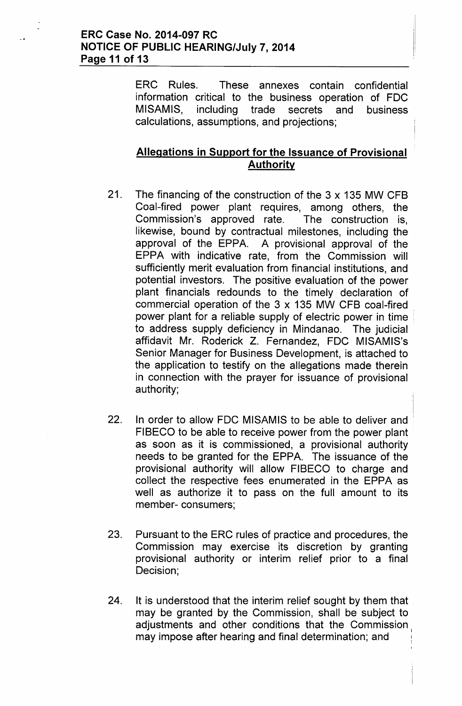# ERC Case No. 2014-097 RC NOTICE OF PUBLIC HEARING/July 7, 2014 Page 11 of 13

ERC Rules. These annexes contain confidential information critical to the business operation of FDC MISAMIS, including trade secrets and business calculations, assumptions, and projections;

# Allegations in Support for the Issuance of Provisional Authority

- 21. The financing of the construction of the 3 x 135 MW CFB Coal-fired power plant requires, among others, the Commission's approved rate. The construction is, likewise, bound by contractual milestones, including the approval of the EPPA. A provisional approval of the EPPA with indicative rate, from the Commission will sufficiently merit evaluation from financial institutions, and potential investors. The positive evaluation of the power plant financials redounds to the timely declaration of commercial operation of the 3 x 135 MW CFB coal-fired power plant for a reliable supply of electric power in time . to address supply deficiency in Mindanao. The judicial affidavit Mr. Roderick Z. Fernandez, FDC MISAMIS's Senior Manager for Business Development, is attached to the application to testify on the allegations made therein in connection with the prayer for issuance of provisional authority;
- 22. In order to allow FDC MISAMIS to be able to deliver and FIBECO to be able to receive power from the power plant as soon as it is commissioned, a provisional authority needs to be granted for the EPPA. The issuance of the provisional authority will allow FIBECO to charge and collect the respective fees enumerated in the EPPA as well as authorize it to pass on the full amount to its member- consumers;
- 23. Pursuant to the ERC rules of practice and procedures, the Commission may exercise its discretion by granting provisional authority or interim relief prior to a final Decision;
- 24. It is understood that the interim relief sought by them that may be granted by the Commission, shall be subject to adjustments and other conditions that the Commission may impose after hearing and final determination; and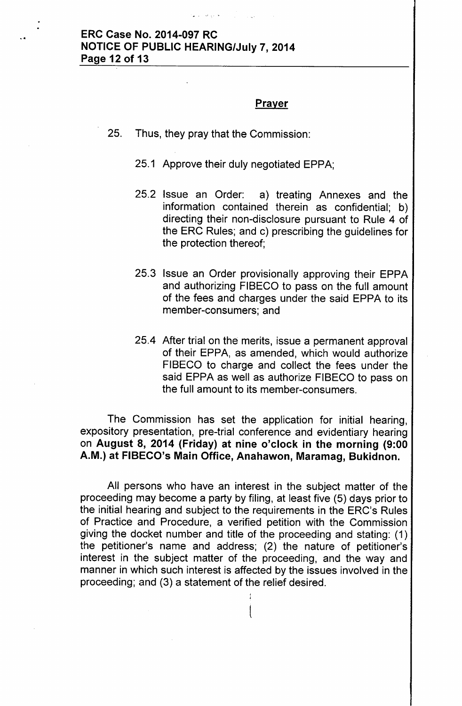# .. ERC Case No. 2014-097 RC NOTICE OF PUBLIC HEARING/July 7,2014 Page 12 of 13

#### <u>Prayer</u>

- 25. Thus, they pray that the Commission:
	- 25.1 Approve their duly negotiated EPPA;
	- 25.2 Issue an Order: a) treating Annexes and the information contained therein as confidential; b) directing their non-disclosure pursuant to Rule 4 of the ERC Rules; and c) prescribing the guidelines for the protection thereof;
	- 25.3 Issue an Order provisionally approving their EPPA and authorizing FIBECO to pass on the full amount of the fees and charges under the said EPPA to its member-consumers; and
	- 25.4 After trial on the merits, issue a permanent approval of their EPPA, as amended, which would authorize FIBECO to charge and collect the fees under the said EPPA as well as authorize FIBECO to pass on the full amount to its member-consumers.

The Commission has set the application for initial hearing, expository presentation, pre-trial conference and evidentiary hearing on August 8, 2014 (Friday) at nine o'clock in the morning (9:00 A.M.) at FIBECO's Main Office, Anahawon, Maramag, Bukidnon.

All persons who have an interest in the subject matter of the proceeding may become a party by filing, at least five (5) days prior to the initial hearing and subject to the requirements in the ERC's Rules. of Practice and Procedure, a verified petition with the Commission giving the docket number and title of the proceeding and stating: (1). the petitioner's name and address; (2) the nature of petitioner's interest in the subject matter of the proceeding, and the way and manner in which such interest is affected by the issues involved in the proceeding; and (3) a statement of the relief desired.